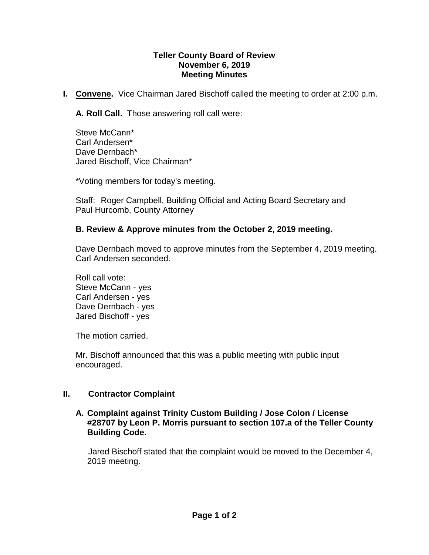#### **Teller County Board of Review November 6, 2019 Meeting Minutes**

**I. Convene.** Vice Chairman Jared Bischoff called the meeting to order at 2:00 p.m.

**A. Roll Call.** Those answering roll call were:

Steve McCann\* Carl Andersen\* Dave Dernbach\* Jared Bischoff, Vice Chairman\*

\*Voting members for today's meeting.

Staff: Roger Campbell, Building Official and Acting Board Secretary and Paul Hurcomb, County Attorney

### **B. Review & Approve minutes from the October 2, 2019 meeting.**

Dave Dernbach moved to approve minutes from the September 4, 2019 meeting. Carl Andersen seconded.

Roll call vote: Steve McCann - yes Carl Andersen - yes Dave Dernbach - yes Jared Bischoff - yes

The motion carried.

Mr. Bischoff announced that this was a public meeting with public input encouraged.

# **II. Contractor Complaint**

#### **A. Complaint against Trinity Custom Building / Jose Colon / License #28707 by Leon P. Morris pursuant to section 107.a of the Teller County Building Code.**

Jared Bischoff stated that the complaint would be moved to the December 4, 2019 meeting.